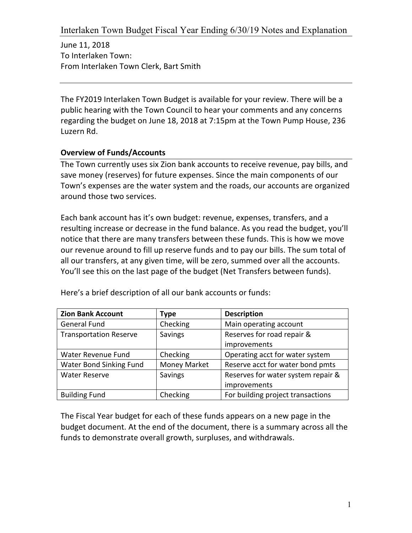June 11, 2018 To Interlaken Town: From Interlaken Town Clerk, Bart Smith

The FY2019 Interlaken Town Budget is available for your review. There will be a public hearing with the Town Council to hear your comments and any concerns regarding the budget on June 18, 2018 at 7:15pm at the Town Pump House, 236 Luzern Rd.

## **Overview of Funds/Accounts**

The Town currently uses six Zion bank accounts to receive revenue, pay bills, and save money (reserves) for future expenses. Since the main components of our Town's expenses are the water system and the roads, our accounts are organized around those two services.

Each bank account has it's own budget: revenue, expenses, transfers, and a resulting increase or decrease in the fund balance. As you read the budget, you'll notice that there are many transfers between these funds. This is how we move our revenue around to fill up reserve funds and to pay our bills. The sum total of all our transfers, at any given time, will be zero, summed over all the accounts. You'll see this on the last page of the budget (Net Transfers between funds).

| <b>Zion Bank Account</b>      | Type                | <b>Description</b>                 |  |
|-------------------------------|---------------------|------------------------------------|--|
| <b>General Fund</b>           | Checking            | Main operating account             |  |
| <b>Transportation Reserve</b> | Savings             | Reserves for road repair &         |  |
|                               |                     | improvements                       |  |
| Water Revenue Fund            | Checking            | Operating acct for water system    |  |
| Water Bond Sinking Fund       | <b>Money Market</b> | Reserve acct for water bond pmts   |  |
| <b>Water Reserve</b>          | Savings             | Reserves for water system repair & |  |
|                               |                     | improvements                       |  |
| <b>Building Fund</b>          | Checking            | For building project transactions  |  |

Here's a brief description of all our bank accounts or funds:

The Fiscal Year budget for each of these funds appears on a new page in the budget document. At the end of the document, there is a summary across all the funds to demonstrate overall growth, surpluses, and withdrawals.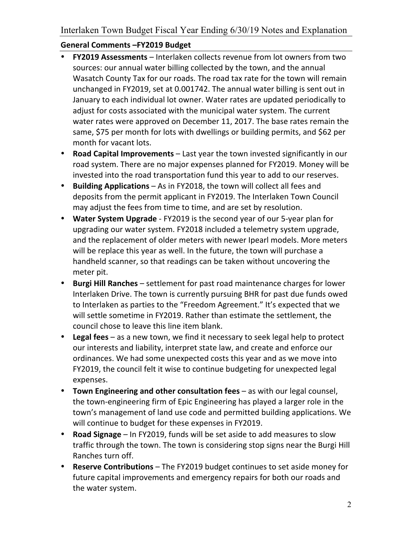## **General Comments –FY2019 Budget**

- **FY2019 Assessments** Interlaken collects revenue from lot owners from two sources: our annual water billing collected by the town, and the annual Wasatch County Tax for our roads. The road tax rate for the town will remain unchanged in FY2019, set at 0.001742. The annual water billing is sent out in January to each individual lot owner. Water rates are updated periodically to adjust for costs associated with the municipal water system. The current water rates were approved on December 11, 2017. The base rates remain the same, \$75 per month for lots with dwellings or building permits, and \$62 per month for vacant lots.
- **Road Capital Improvements** Last year the town invested significantly in our road system. There are no major expenses planned for FY2019. Money will be invested into the road transportation fund this year to add to our reserves.
- **Building Applications** As in FY2018, the town will collect all fees and deposits from the permit applicant in FY2019. The Interlaken Town Council may adjust the fees from time to time, and are set by resolution.
- Water System Upgrade FY2019 is the second year of our 5-year plan for upgrading our water system. FY2018 included a telemetry system upgrade, and the replacement of older meters with newer Ipearl models. More meters will be replace this year as well. In the future, the town will purchase a handheld scanner, so that readings can be taken without uncovering the meter pit.
- **Burgi Hill Ranches** settlement for past road maintenance charges for lower Interlaken Drive. The town is currently pursuing BHR for past due funds owed to Interlaken as parties to the "Freedom Agreement." It's expected that we will settle sometime in FY2019. Rather than estimate the settlement, the council chose to leave this line item blank.
- Legal fees as a new town, we find it necessary to seek legal help to protect our interests and liability, interpret state law, and create and enforce our ordinances. We had some unexpected costs this year and as we move into FY2019, the council felt it wise to continue budgeting for unexpected legal expenses.
- **Town Engineering and other consultation fees** as with our legal counsel, the town-engineering firm of Epic Engineering has played a larger role in the town's management of land use code and permitted building applications. We will continue to budget for these expenses in FY2019.
- **Road Signage** In FY2019, funds will be set aside to add measures to slow traffic through the town. The town is considering stop signs near the Burgi Hill Ranches turn off.
- **Reserve Contributions** The FY2019 budget continues to set aside money for future capital improvements and emergency repairs for both our roads and the water system.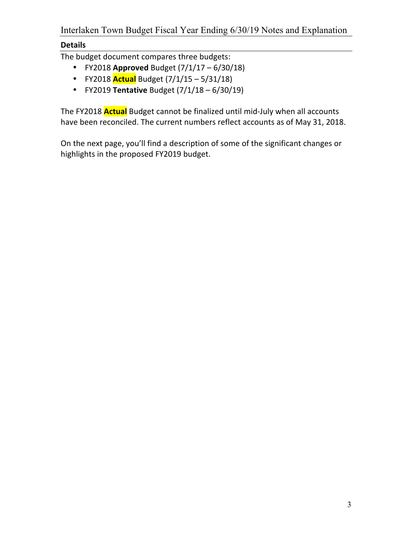## **Details**

The budget document compares three budgets:

- FY2018 **Approved** Budget  $(7/1/17 6/30/18)$
- FY2018 **Actual** Budget (7/1/15 5/31/18)
- FY2019 **Tentative** Budget (7/1/18 6/30/19)

The FY2018 **Actual** Budget cannot be finalized until mid-July when all accounts have been reconciled. The current numbers reflect accounts as of May 31, 2018.

On the next page, you'll find a description of some of the significant changes or highlights in the proposed FY2019 budget.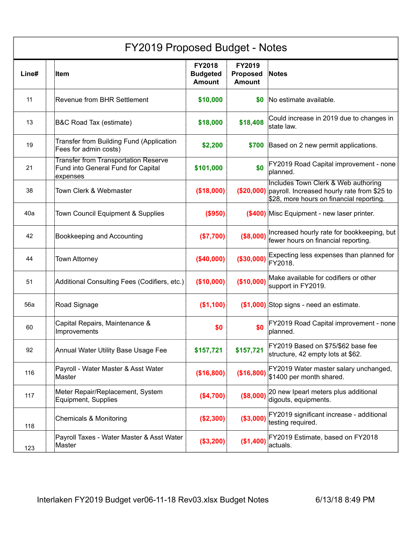| FY2019 Proposed Budget - Notes |                                                                                               |                                            |                                                   |                                                                                                                                           |  |  |
|--------------------------------|-----------------------------------------------------------------------------------------------|--------------------------------------------|---------------------------------------------------|-------------------------------------------------------------------------------------------------------------------------------------------|--|--|
| Line#                          | Item                                                                                          | FY2018<br><b>Budgeted</b><br><b>Amount</b> | <b>FY2019</b><br><b>Proposed</b><br><b>Amount</b> | <b>Notes</b>                                                                                                                              |  |  |
| 11                             | <b>Revenue from BHR Settlement</b>                                                            | \$10,000                                   | SO.                                               | No estimate available.                                                                                                                    |  |  |
| 13                             | B&C Road Tax (estimate)                                                                       | \$18,000                                   | \$18,408                                          | Could increase in 2019 due to changes in<br>state law.                                                                                    |  |  |
| 19                             | Transfer from Building Fund (Application<br>Fees for admin costs)                             | \$2,200                                    |                                                   | \$700 Based on 2 new permit applications.                                                                                                 |  |  |
| 21                             | <b>Transfer from Transportation Reserve</b><br>Fund into General Fund for Capital<br>expenses | \$101,000                                  | \$0                                               | FY2019 Road Capital improvement - none<br>planned.                                                                                        |  |  |
| 38                             | Town Clerk & Webmaster                                                                        | (\$18,000)                                 |                                                   | Includes Town Clerk & Web authoring<br>(\$20,000) payroll. Increased hourly rate from \$25 to<br>\$28, more hours on financial reporting. |  |  |
| 40a                            | Town Council Equipment & Supplies                                                             | (\$950)                                    |                                                   | (\$400) Misc Equipment - new laser printer.                                                                                               |  |  |
| 42                             | Bookkeeping and Accounting                                                                    | (\$7,700)                                  | (\$8,000)                                         | Increased hourly rate for bookkeeping, but<br>fewer hours on financial reporting.                                                         |  |  |
| 44                             | <b>Town Attorney</b>                                                                          | (\$40,000)                                 | (\$30,000)                                        | Expecting less expenses than planned for<br>FY2018.                                                                                       |  |  |
| 51                             | Additional Consulting Fees (Codifiers, etc.)                                                  | (\$10,000)                                 | (\$10,000)                                        | Make available for codifiers or other<br>support in FY2019.                                                                               |  |  |
| 56a                            | Road Signage                                                                                  | (\$1,100)                                  |                                                   | (\$1,000) Stop signs - need an estimate.                                                                                                  |  |  |
| 60                             | Capital Repairs, Maintenance &<br>Improvements                                                | \$0                                        | \$0                                               | FY2019 Road Capital improvement - none<br>planned.                                                                                        |  |  |
| 92                             | Annual Water Utility Base Usage Fee                                                           | \$157,721                                  | \$157,721                                         | FY2019 Based on \$75/\$62 base fee<br>structure, 42 empty lots at \$62.                                                                   |  |  |
| 116                            | Payroll - Water Master & Asst Water<br>Master                                                 | (\$16,800)                                 | (\$16,800)                                        | FY2019 Water master salary unchanged,<br>\$1400 per month shared.                                                                         |  |  |
| 117                            | Meter Repair/Replacement, System<br>Equipment, Supplies                                       | (\$4,700)                                  | (\$8,000)                                         | 20 new Ipearl meters plus additional<br>digouts, equipments.                                                                              |  |  |
| 118                            | Chemicals & Monitoring                                                                        | (\$2,300)                                  | (\$3,000)                                         | FY2019 significant increase - additional<br>testing required.                                                                             |  |  |
| 123                            | Payroll Taxes - Water Master & Asst Water<br>Master                                           | (\$3,200)                                  | (\$1,400)                                         | FY2019 Estimate, based on FY2018<br>actuals.                                                                                              |  |  |